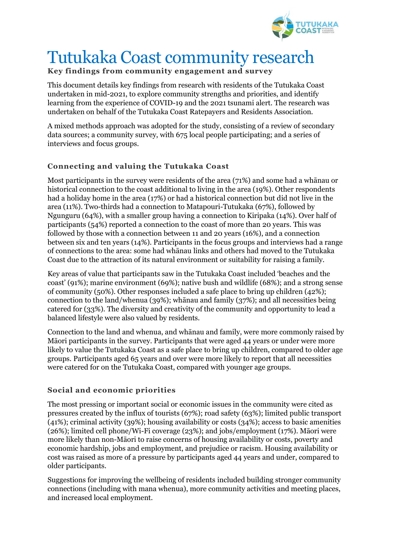

# Tutukaka Coast community research

## **Key findings from community engagement and survey**

This document details key findings from research with residents of the Tutukaka Coast undertaken in mid-2021, to explore community strengths and priorities, and identify learning from the experience of COVID-19 and the 2021 tsunami alert. The research was undertaken on behalf of the Tutukaka Coast Ratepayers and Residents Association.

A mixed methods approach was adopted for the study, consisting of a review of secondary data sources; a community survey, with 675 local people participating; and a series of interviews and focus groups.

### **Connecting and valuing the Tutukaka Coast**

Most participants in the survey were residents of the area (71%) and some had a whānau or historical connection to the coast additional to living in the area (19%). Other respondents had a holiday home in the area (17%) or had a historical connection but did not live in the area (11%). Two-thirds had a connection to Matapouri-Tutukaka (67%), followed by Ngunguru (64%), with a smaller group having a connection to Kiripaka (14%). Over half of participants (54%) reported a connection to the coast of more than 20 years. This was followed by those with a connection between 11 and 20 years (16%), and a connection between six and ten years (14%). Participants in the focus groups and interviews had a range of connections to the area: some had whānau links and others had moved to the Tutukaka Coast due to the attraction of its natural environment or suitability for raising a family.

Key areas of value that participants saw in the Tutukaka Coast included 'beaches and the coast' (91%); marine environment (69%); native bush and wildlife (68%); and a strong sense of community (50%). Other responses included a safe place to bring up children (42%); connection to the land/whenua (39%); whānau and family (37%); and all necessities being catered for (33%). The diversity and creativity of the community and opportunity to lead a balanced lifestyle were also valued by residents.

Connection to the land and whenua, and whānau and family, were more commonly raised by Māori participants in the survey. Participants that were aged 44 years or under were more likely to value the Tutukaka Coast as a safe place to bring up children, compared to older age groups. Participants aged 65 years and over were more likely to report that all necessities were catered for on the Tutukaka Coast, compared with younger age groups.

#### **Social and economic priorities**

The most pressing or important social or economic issues in the community were cited as pressures created by the influx of tourists (67%); road safety (63%); limited public transport (41%); criminal activity (39%); housing availability or costs (34%); access to basic amenities (26%); limited cell phone/Wi-Fi coverage (23%); and jobs/employment (17%). Māori were more likely than non-Māori to raise concerns of housing availability or costs, poverty and economic hardship, jobs and employment, and prejudice or racism. Housing availability or cost was raised as more of a pressure by participants aged 44 years and under, compared to older participants.

Suggestions for improving the wellbeing of residents included building stronger community connections (including with mana whenua), more community activities and meeting places, and increased local employment.